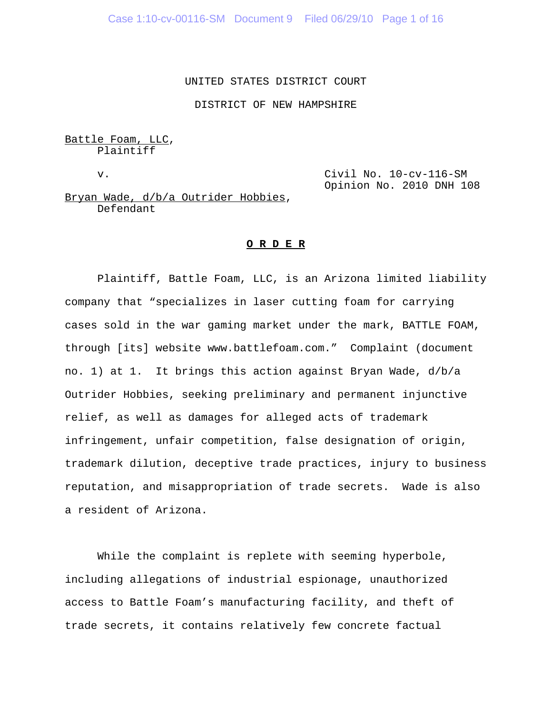#### UNITED STATES DISTRICT COURT

DISTRICT OF NEW HAMPSHIRE

Battle Foam, LLC, Plaintiff

v. Civil No. 10-cv-116-SM Opinion No. 2010 DNH 108

Bryan Wade, d/b/a Outrider Hobbies, Defendant

#### **O R D E R**

Plaintiff, Battle Foam, LLC, is an Arizona limited liability company that "specializes in laser cutting foam for carrying cases sold in the war gaming market under the mark, BATTLE FOAM, through [its] website www.battlefoam.com." Complaint (document no. 1) at 1. It brings this action against Bryan Wade, d/b/a Outrider Hobbies, seeking preliminary and permanent injunctive relief, as well as damages for alleged acts of trademark infringement, unfair competition, false designation of origin, trademark dilution, deceptive trade practices, injury to business reputation, and misappropriation of trade secrets. Wade is also a resident of Arizona.

While the complaint is replete with seeming hyperbole, including allegations of industrial espionage, unauthorized access to Battle Foam's manufacturing facility, and theft of trade secrets, it contains relatively few concrete factual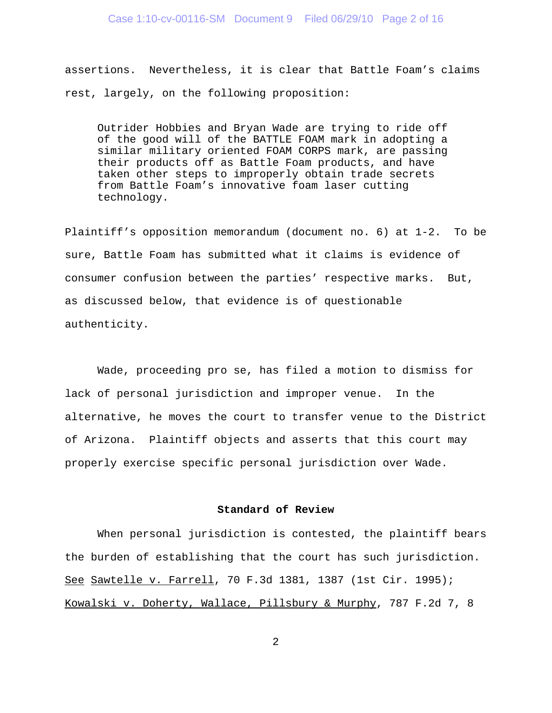assertions. Nevertheless, it is clear that Battle Foam's claims rest, largely, on the following proposition:

Outrider Hobbies and Bryan Wade are trying to ride off of the good will of the BATTLE FOAM mark in adopting a similar military oriented FOAM CORPS mark, are passing their products off as Battle Foam products, and have taken other steps to improperly obtain trade secrets from Battle Foam's innovative foam laser cutting technology.

Plaintiff's opposition memorandum (document no. 6) at 1-2. To be sure, Battle Foam has submitted what it claims is evidence of consumer confusion between the parties' respective marks. But, as discussed below, that evidence is of questionable authenticity.

Wade, proceeding pro se, has filed a motion to dismiss for lack of personal jurisdiction and improper venue. In the alternative, he moves the court to transfer venue to the District of Arizona. Plaintiff objects and asserts that this court may properly exercise specific personal jurisdiction over Wade.

## **Standard of Review**

When personal jurisdiction is contested, the plaintiff bears the burden of establishing that the court has such jurisdiction. See Sawtelle v. Farrell, 70 F.3d 1381, 1387 (1st Cir. 1995); Kowalski v. Doherty, Wallace, Pillsbury & Murphy, 787 F.2d 7, 8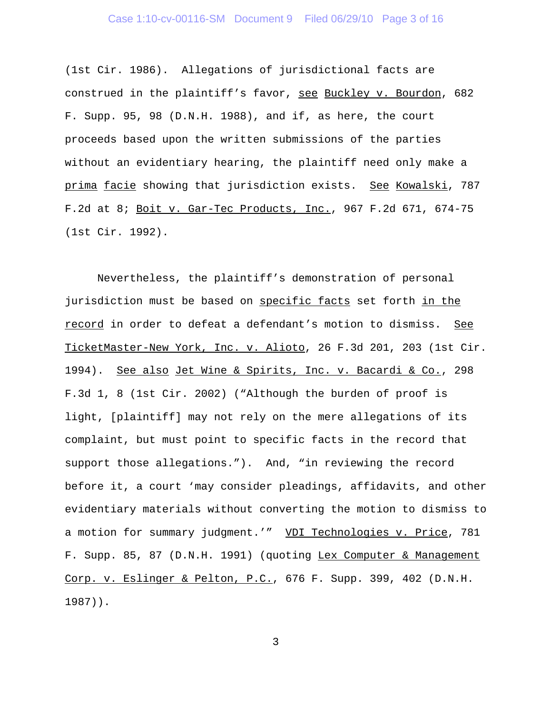## Case 1:10-cv-00116-SM Document 9 Filed 06/29/10 Page 3 of 16

(1st Cir. 1986). Allegations of jurisdictional facts are construed in the plaintiff's favor, see Buckley v. Bourdon, 682 F. Supp. 95, 98 (D.N.H. 1988), and if, as here, the court proceeds based upon the written submissions of the parties without an evidentiary hearing, the plaintiff need only make a prima facie showing that jurisdiction exists. See Kowalski, 787 F.2d at 8; Boit v. Gar-Tec Products, Inc., 967 F.2d 671, 674-75 (1st Cir. 1992).

Nevertheless, the plaintiff's demonstration of personal jurisdiction must be based on specific facts set forth in the record in order to defeat a defendant's motion to dismiss. See TicketMaster-New York, Inc. v. Alioto, 26 F.3d 201, 203 (1st Cir. 1994). See also Jet Wine & Spirits, Inc. v. Bacardi & Co., 298 F.3d 1, 8 (1st Cir. 2002) ("Although the burden of proof is light, [plaintiff] may not rely on the mere allegations of its complaint, but must point to specific facts in the record that support those allegations."). And, "in reviewing the record before it, a court 'may consider pleadings, affidavits, and other evidentiary materials without converting the motion to dismiss to a motion for summary judgment.'" VDI Technologies v. Price, 781 F. Supp. 85, 87 (D.N.H. 1991) (quoting Lex Computer & Management Corp. v. Eslinger & Pelton, P.C., 676 F. Supp. 399, 402 (D.N.H. 1987)).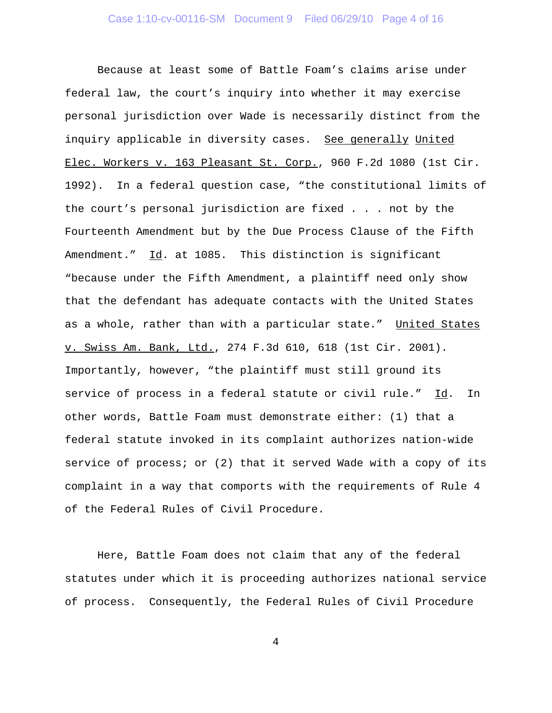Because at least some of Battle Foam's claims arise under federal law, the court's inquiry into whether it may exercise personal jurisdiction over Wade is necessarily distinct from the inquiry applicable in diversity cases. See generally United Elec. Workers v. 163 Pleasant St. Corp., 960 F.2d 1080 (1st Cir. 1992). In a federal question case, "the constitutional limits of the court's personal jurisdiction are fixed . . . not by the Fourteenth Amendment but by the Due Process Clause of the Fifth Amendment." Id. at 1085. This distinction is significant "because under the Fifth Amendment, a plaintiff need only show that the defendant has adequate contacts with the United States as a whole, rather than with a particular state." United States v. Swiss Am. Bank, Ltd., 274 F.3d 610, 618 (1st Cir. 2001). Importantly, however, "the plaintiff must still ground its service of process in a federal statute or civil rule." Id. In other words, Battle Foam must demonstrate either: (1) that a federal statute invoked in its complaint authorizes nation-wide service of process; or (2) that it served Wade with a copy of its complaint in a way that comports with the requirements of Rule 4 of the Federal Rules of Civil Procedure.

Here, Battle Foam does not claim that any of the federal statutes under which it is proceeding authorizes national service of process. Consequently, the Federal Rules of Civil Procedure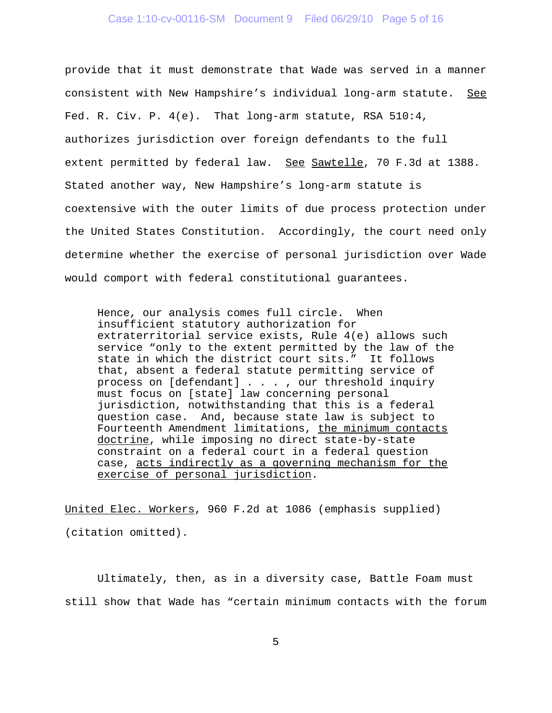## Case 1:10-cv-00116-SM Document 9 Filed 06/29/10 Page 5 of 16

provide that it must demonstrate that Wade was served in a manner consistent with New Hampshire's individual long-arm statute. See Fed. R. Civ. P. 4(e). That long-arm statute, RSA 510:4, authorizes jurisdiction over foreign defendants to the full extent permitted by federal law. See Sawtelle, 70 F.3d at 1388. Stated another way, New Hampshire's long-arm statute is coextensive with the outer limits of due process protection under the United States Constitution. Accordingly, the court need only determine whether the exercise of personal jurisdiction over Wade would comport with federal constitutional guarantees.

Hence, our analysis comes full circle. When insufficient statutory authorization for extraterritorial service exists, Rule 4(e) allows such service "only to the extent permitted by the law of the state in which the district court sits." It follows that, absent a federal statute permitting service of process on [defendant] . . . , our threshold inquiry must focus on [state] law concerning personal jurisdiction, notwithstanding that this is a federal question case. And, because state law is subject to Fourteenth Amendment limitations, the minimum contacts doctrine, while imposing no direct state-by-state constraint on a federal court in a federal question case, acts indirectly as a governing mechanism for the exercise of personal jurisdiction.

United Elec. Workers, 960 F.2d at 1086 (emphasis supplied) (citation omitted).

Ultimately, then, as in a diversity case, Battle Foam must still show that Wade has "certain minimum contacts with the forum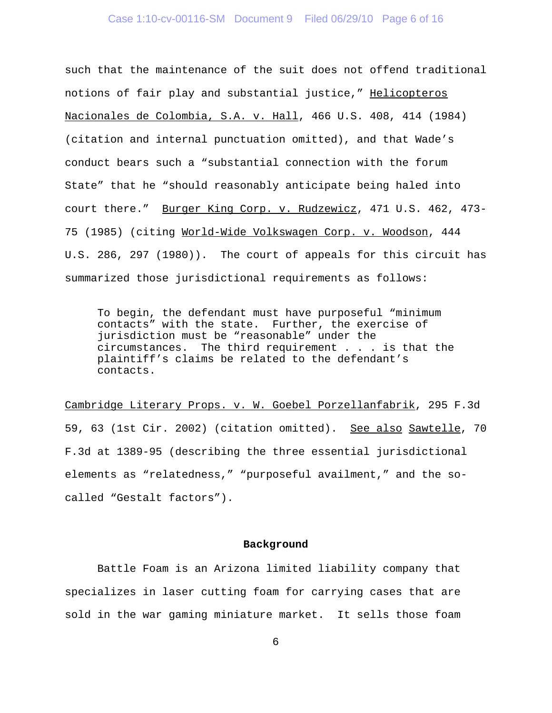## Case 1:10-cv-00116-SM Document 9 Filed 06/29/10 Page 6 of 16

such that the maintenance of the suit does not offend traditional notions of fair play and substantial justice," Helicopteros Nacionales de Colombia, S.A. v. Hall, 466 U.S. 408, 414 (1984) (citation and internal punctuation omitted), and that Wade's conduct bears such a "substantial connection with the forum State" that he "should reasonably anticipate being haled into court there." Burger King Corp. v. Rudzewicz, 471 U.S. 462, 473- 75 (1985) (citing World-Wide Volkswagen Corp. v. Woodson, 444 U.S. 286, 297 (1980)). The court of appeals for this circuit has summarized those jurisdictional requirements as follows:

To begin, the defendant must have purposeful "minimum contacts" with the state. Further, the exercise of jurisdiction must be "reasonable" under the circumstances. The third requirement . . . is that the plaintiff's claims be related to the defendant's contacts.

Cambridge Literary Props. v. W. Goebel Porzellanfabrik, 295 F.3d 59, 63 (1st Cir. 2002) (citation omitted). See also Sawtelle, 70 F.3d at 1389-95 (describing the three essential jurisdictional elements as "relatedness," "purposeful availment," and the socalled "Gestalt factors").

#### **Background**

Battle Foam is an Arizona limited liability company that specializes in laser cutting foam for carrying cases that are sold in the war gaming miniature market. It sells those foam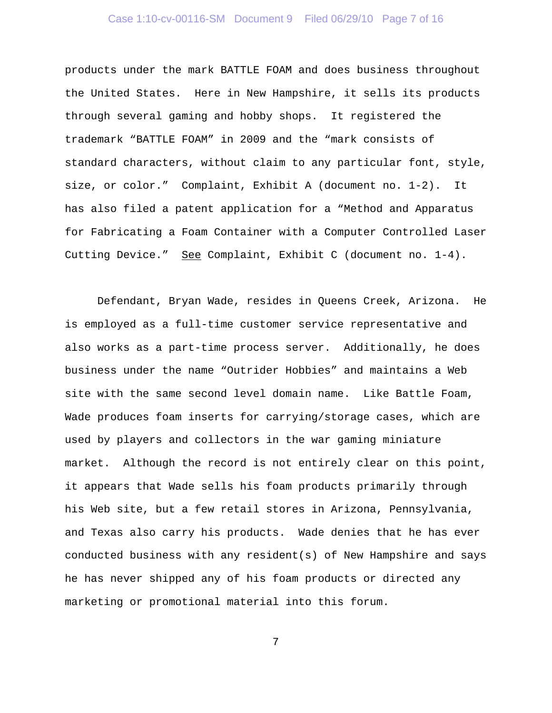## Case 1:10-cv-00116-SM Document 9 Filed 06/29/10 Page 7 of 16

products under the mark BATTLE FOAM and does business throughout the United States. Here in New Hampshire, it sells its products through several gaming and hobby shops. It registered the trademark "BATTLE FOAM" in 2009 and the "mark consists of standard characters, without claim to any particular font, style, size, or color." Complaint, Exhibit A (document no. 1-2). It has also filed a patent application for a "Method and Apparatus for Fabricating a Foam Container with a Computer Controlled Laser Cutting Device." See Complaint, Exhibit C (document no. 1-4).

Defendant, Bryan Wade, resides in Queens Creek, Arizona. He is employed as a full-time customer service representative and also works as a part-time process server. Additionally, he does business under the name "Outrider Hobbies" and maintains a Web site with the same second level domain name. Like Battle Foam, Wade produces foam inserts for carrying/storage cases, which are used by players and collectors in the war gaming miniature market. Although the record is not entirely clear on this point, it appears that Wade sells his foam products primarily through his Web site, but a few retail stores in Arizona, Pennsylvania, and Texas also carry his products. Wade denies that he has ever conducted business with any resident(s) of New Hampshire and says he has never shipped any of his foam products or directed any marketing or promotional material into this forum.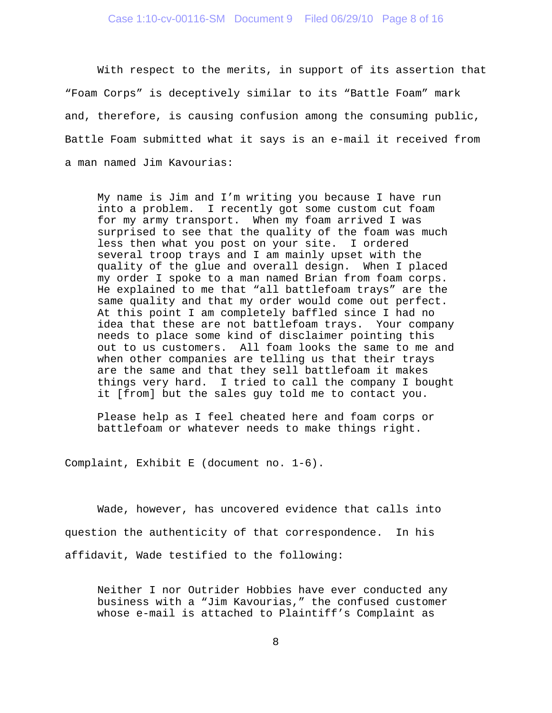With respect to the merits, in support of its assertion that "Foam Corps" is deceptively similar to its "Battle Foam" mark and, therefore, is causing confusion among the consuming public, Battle Foam submitted what it says is an e-mail it received from a man named Jim Kavourias:

My name is Jim and I'm writing you because I have run into a problem. I recently got some custom cut foam for my army transport. When my foam arrived I was surprised to see that the quality of the foam was much less then what you post on your site. I ordered several troop trays and I am mainly upset with the quality of the glue and overall design. When I placed my order I spoke to a man named Brian from foam corps. He explained to me that "all battlefoam trays" are the same quality and that my order would come out perfect. At this point I am completely baffled since I had no idea that these are not battlefoam trays. Your company needs to place some kind of disclaimer pointing this out to us customers. All foam looks the same to me and when other companies are telling us that their trays are the same and that they sell battlefoam it makes things very hard. I tried to call the company I bought it [from] but the sales guy told me to contact you.

Please help as I feel cheated here and foam corps or battlefoam or whatever needs to make things right.

Complaint, Exhibit E (document no. 1-6).

Wade, however, has uncovered evidence that calls into question the authenticity of that correspondence. In his affidavit, Wade testified to the following:

Neither I nor Outrider Hobbies have ever conducted any business with a "Jim Kavourias," the confused customer whose e-mail is attached to Plaintiff's Complaint as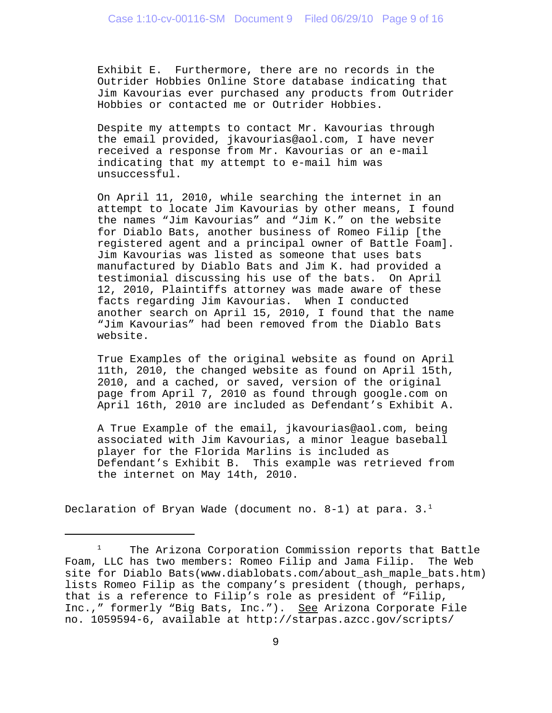Exhibit E. Furthermore, there are no records in the Outrider Hobbies Online Store database indicating that Jim Kavourias ever purchased any products from Outrider Hobbies or contacted me or Outrider Hobbies.

Despite my attempts to contact Mr. Kavourias through the email provided, jkavourias@aol.com, I have never received a response from Mr. Kavourias or an e-mail indicating that my attempt to e-mail him was unsuccessful.

On April 11, 2010, while searching the internet in an attempt to locate Jim Kavourias by other means, I found the names "Jim Kavourias" and "Jim K." on the website for Diablo Bats, another business of Romeo Filip [the registered agent and a principal owner of Battle Foam]. Jim Kavourias was listed as someone that uses bats manufactured by Diablo Bats and Jim K. had provided a testimonial discussing his use of the bats. On April 12, 2010, Plaintiffs attorney was made aware of these facts regarding Jim Kavourias. When I conducted another search on April 15, 2010, I found that the name "Jim Kavourias" had been removed from the Diablo Bats website.

True Examples of the original website as found on April 11th, 2010, the changed website as found on April 15th, 2010, and a cached, or saved, version of the original page from April 7, 2010 as found through google.com on April 16th, 2010 are included as Defendant's Exhibit A.

A True Example of the email, jkavourias@aol.com, being associated with Jim Kavourias, a minor league baseball player for the Florida Marlins is included as Defendant's Exhibit B. This example was retrieved from the internet on May 14th, 2010.

Declaration of Bryan Wade (document no. 8-1) at para.  $3.^1$ 

 $1$  The Arizona Corporation Commission reports that Battle Foam, LLC has two members: Romeo Filip and Jama Filip. The Web site for Diablo Bats(www.diablobats.com/about\_ash\_maple\_bats.htm) lists Romeo Filip as the company's president (though, perhaps, that is a reference to Filip's role as president of "Filip, Inc.," formerly "Big Bats, Inc."). See Arizona Corporate File no. 1059594-6, available at http://starpas.azcc.gov/scripts/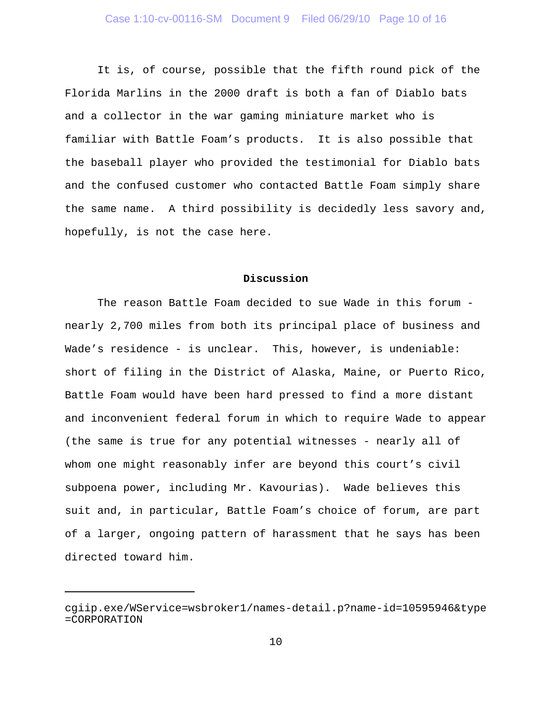It is, of course, possible that the fifth round pick of the Florida Marlins in the 2000 draft is both a fan of Diablo bats and a collector in the war gaming miniature market who is familiar with Battle Foam's products. It is also possible that the baseball player who provided the testimonial for Diablo bats and the confused customer who contacted Battle Foam simply share the same name. A third possibility is decidedly less savory and, hopefully, is not the case here.

#### **Discussion**

The reason Battle Foam decided to sue Wade in this forum nearly 2,700 miles from both its principal place of business and Wade's residence - is unclear. This, however, is undeniable: short of filing in the District of Alaska, Maine, or Puerto Rico, Battle Foam would have been hard pressed to find a more distant and inconvenient federal forum in which to require Wade to appear (the same is true for any potential witnesses - nearly all of whom one might reasonably infer are beyond this court's civil subpoena power, including Mr. Kavourias). Wade believes this suit and, in particular, Battle Foam's choice of forum, are part of a larger, ongoing pattern of harassment that he says has been directed toward him.

cgiip.exe/WService=wsbroker1/names-detail.p?name-id=10595946&type =CORPORATION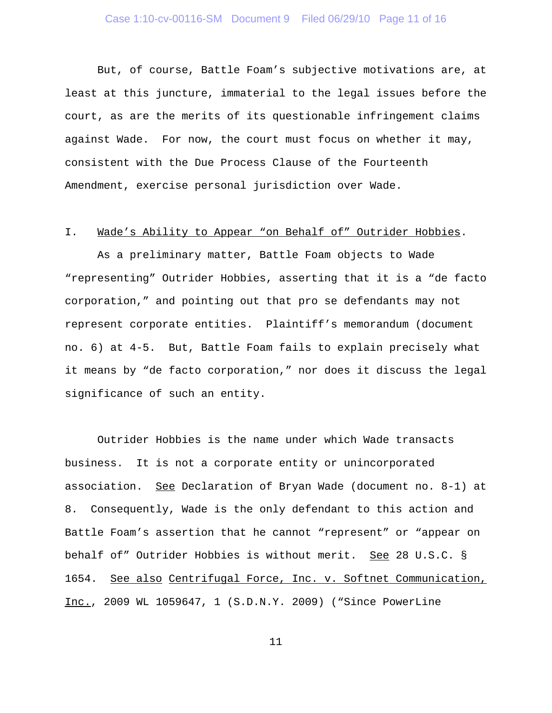But, of course, Battle Foam's subjective motivations are, at least at this juncture, immaterial to the legal issues before the court, as are the merits of its questionable infringement claims against Wade. For now, the court must focus on whether it may, consistent with the Due Process Clause of the Fourteenth Amendment, exercise personal jurisdiction over Wade.

### I. Wade's Ability to Appear "on Behalf of" Outrider Hobbies.

As a preliminary matter, Battle Foam objects to Wade "representing" Outrider Hobbies, asserting that it is a "de facto corporation," and pointing out that pro se defendants may not represent corporate entities. Plaintiff's memorandum (document no. 6) at 4-5. But, Battle Foam fails to explain precisely what it means by "de facto corporation," nor does it discuss the legal significance of such an entity.

Outrider Hobbies is the name under which Wade transacts business. It is not a corporate entity or unincorporated association. See Declaration of Bryan Wade (document no. 8-1) at 8. Consequently, Wade is the only defendant to this action and Battle Foam's assertion that he cannot "represent" or "appear on behalf of" Outrider Hobbies is without merit. See 28 U.S.C. § 1654. See also Centrifugal Force, Inc. v. Softnet Communication, Inc., 2009 WL 1059647, 1 (S.D.N.Y. 2009) ("Since PowerLine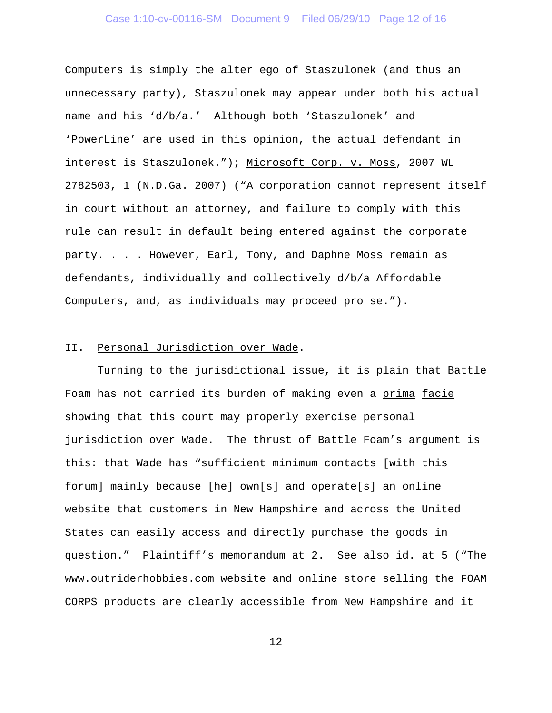# Case 1:10-cv-00116-SM Document 9 Filed 06/29/10 Page 12 of 16

Computers is simply the alter ego of Staszulonek (and thus an unnecessary party), Staszulonek may appear under both his actual name and his 'd/b/a.' Although both 'Staszulonek' and 'PowerLine' are used in this opinion, the actual defendant in interest is Staszulonek."); Microsoft Corp. v. Moss, 2007 WL 2782503, 1 (N.D.Ga. 2007) ("A corporation cannot represent itself in court without an attorney, and failure to comply with this rule can result in default being entered against the corporate party. . . . However, Earl, Tony, and Daphne Moss remain as defendants, individually and collectively d/b/a Affordable Computers, and, as individuals may proceed pro se.").

## II. Personal Jurisdiction over Wade.

Turning to the jurisdictional issue, it is plain that Battle Foam has not carried its burden of making even a prima facie showing that this court may properly exercise personal jurisdiction over Wade. The thrust of Battle Foam's argument is this: that Wade has "sufficient minimum contacts [with this forum] mainly because [he] own[s] and operate[s] an online website that customers in New Hampshire and across the United States can easily access and directly purchase the goods in question." Plaintiff's memorandum at 2. See also id. at 5 ("The www.outriderhobbies.com website and online store selling the FOAM CORPS products are clearly accessible from New Hampshire and it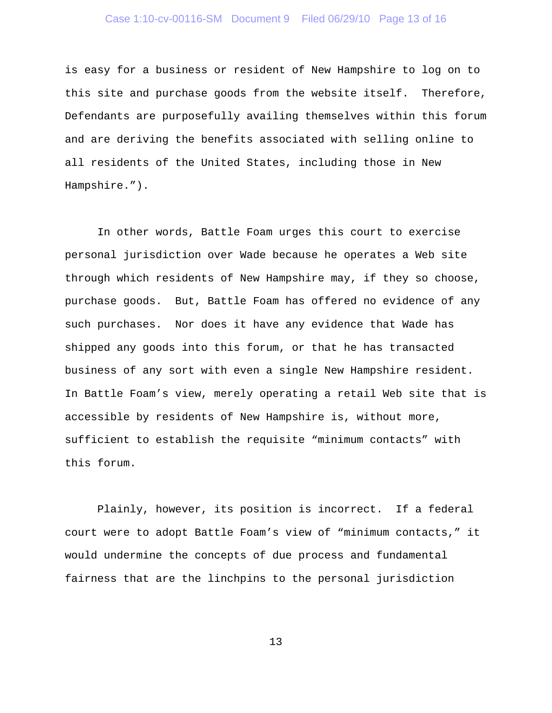## Case 1:10-cv-00116-SM Document 9 Filed 06/29/10 Page 13 of 16

is easy for a business or resident of New Hampshire to log on to this site and purchase goods from the website itself. Therefore, Defendants are purposefully availing themselves within this forum and are deriving the benefits associated with selling online to all residents of the United States, including those in New Hampshire.").

In other words, Battle Foam urges this court to exercise personal jurisdiction over Wade because he operates a Web site through which residents of New Hampshire may, if they so choose, purchase goods. But, Battle Foam has offered no evidence of any such purchases. Nor does it have any evidence that Wade has shipped any goods into this forum, or that he has transacted business of any sort with even a single New Hampshire resident. In Battle Foam's view, merely operating a retail Web site that is accessible by residents of New Hampshire is, without more, sufficient to establish the requisite "minimum contacts" with this forum.

Plainly, however, its position is incorrect. If a federal court were to adopt Battle Foam's view of "minimum contacts," it would undermine the concepts of due process and fundamental fairness that are the linchpins to the personal jurisdiction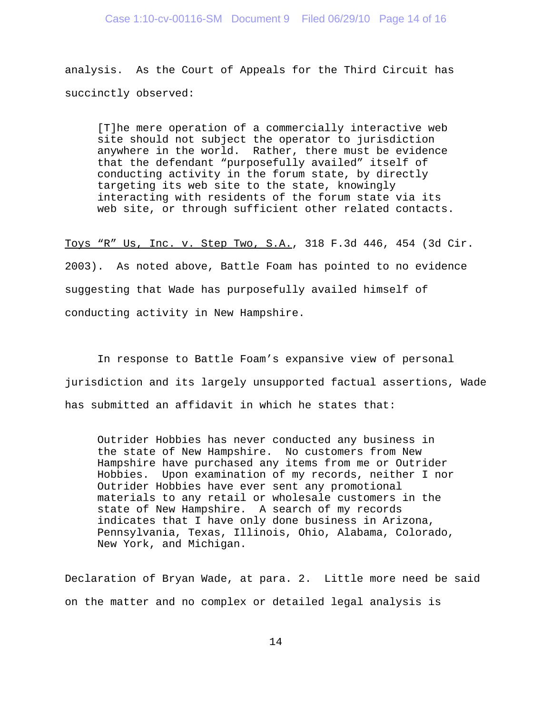analysis. As the Court of Appeals for the Third Circuit has succinctly observed:

[T]he mere operation of a commercially interactive web site should not subject the operator to jurisdiction anywhere in the world. Rather, there must be evidence that the defendant "purposefully availed" itself of conducting activity in the forum state, by directly targeting its web site to the state, knowingly interacting with residents of the forum state via its web site, or through sufficient other related contacts.

Toys "R" Us, Inc. v. Step Two, S.A., 318 F.3d 446, 454 (3d Cir. 2003). As noted above, Battle Foam has pointed to no evidence suggesting that Wade has purposefully availed himself of conducting activity in New Hampshire.

In response to Battle Foam's expansive view of personal jurisdiction and its largely unsupported factual assertions, Wade has submitted an affidavit in which he states that:

Outrider Hobbies has never conducted any business in the state of New Hampshire. No customers from New Hampshire have purchased any items from me or Outrider Hobbies. Upon examination of my records, neither I nor Outrider Hobbies have ever sent any promotional materials to any retail or wholesale customers in the state of New Hampshire. A search of my records indicates that I have only done business in Arizona, Pennsylvania, Texas, Illinois, Ohio, Alabama, Colorado, New York, and Michigan.

Declaration of Bryan Wade, at para. 2. Little more need be said on the matter and no complex or detailed legal analysis is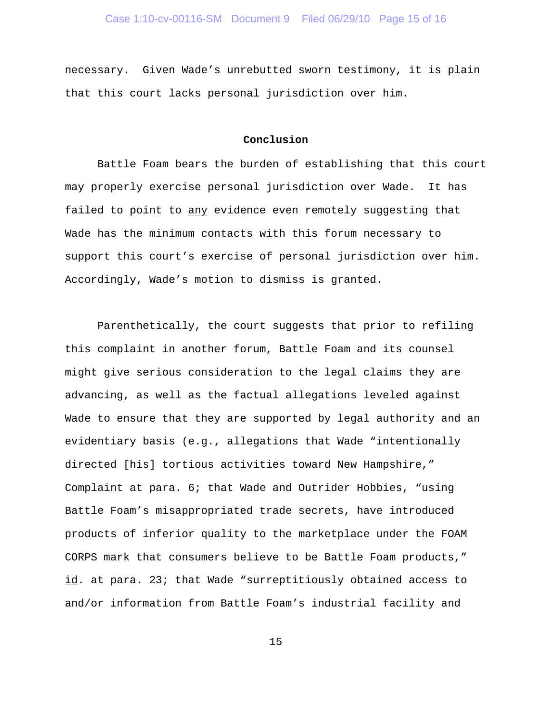necessary. Given Wade's unrebutted sworn testimony, it is plain that this court lacks personal jurisdiction over him.

### **Conclusion**

Battle Foam bears the burden of establishing that this court may properly exercise personal jurisdiction over Wade. It has failed to point to any evidence even remotely suggesting that Wade has the minimum contacts with this forum necessary to support this court's exercise of personal jurisdiction over him. Accordingly, Wade's motion to dismiss is granted.

Parenthetically, the court suggests that prior to refiling this complaint in another forum, Battle Foam and its counsel might give serious consideration to the legal claims they are advancing, as well as the factual allegations leveled against Wade to ensure that they are supported by legal authority and an evidentiary basis (e.g., allegations that Wade "intentionally directed [his] tortious activities toward New Hampshire," Complaint at para. 6; that Wade and Outrider Hobbies, "using Battle Foam's misappropriated trade secrets, have introduced products of inferior quality to the marketplace under the FOAM CORPS mark that consumers believe to be Battle Foam products," id. at para. 23; that Wade "surreptitiously obtained access to and/or information from Battle Foam's industrial facility and